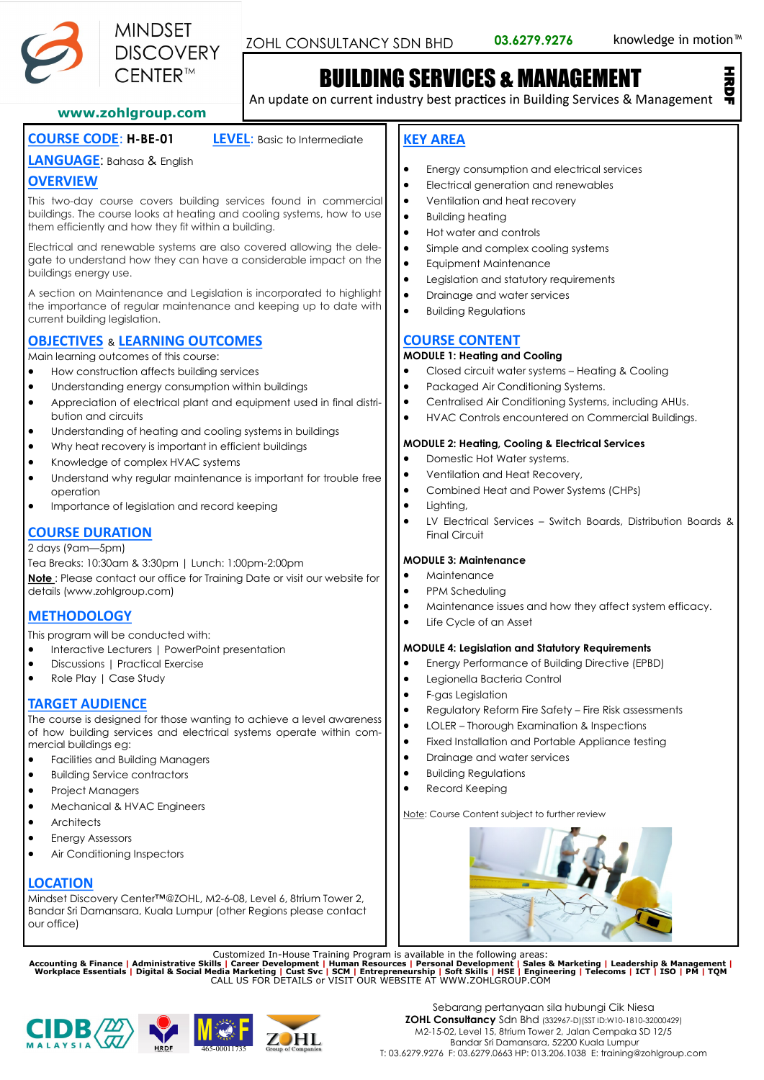

ZOHL CONSULTANCY SDN BHD 03.6279.9276 knowledge in motion<sup>™</sup>

# BUILDING SERVICES & MANAGEMENT **BUILDING SERVICES & MANAGEMENT**<br>An update on current industry best practices in Building Services & Management

#### **www.zohlgroup.com**

### **COURSE CODE**: **H-BE-01 LEVEL**: Basic to Intermediate

#### **LANGUAGE**: Bahasa & English

#### **OVERVIEW**

This two-day course covers building services found in commercial buildings. The course looks at heating and cooling systems, how to use them efficiently and how they fit within a building.

Electrical and renewable systems are also covered allowing the delegate to understand how they can have a considerable impact on the buildings energy use.

A section on Maintenance and Legislation is incorporated to highlight the importance of regular maintenance and keeping up to date with current building legislation.

#### **OBJECTIVES** & **LEARNING OUTCOMES**

Main learning outcomes of this course:

- How construction affects building services
- Understanding energy consumption within buildings
- Appreciation of electrical plant and equipment used in final distribution and circuits
- Understanding of heating and cooling systems in buildings
- Why heat recovery is important in efficient buildings
- Knowledge of complex HVAC systems
- Understand why regular maintenance is important for trouble free operation
- Importance of legislation and record keeping

#### **COURSE DURATION**

2 days (9am—5pm)

Tea Breaks: 10:30am & 3:30pm | Lunch: 1:00pm-2:00pm **Note** : Please contact our office for Training Date or visit our website for details (www.zohlgroup.com)

### **METHODOLOGY**

This program will be conducted with:

- Interactive Lecturers | PowerPoint presentation
- Discussions | Practical Exercise
- Role Play | Case Study

#### **TARGET AUDIENCE**

The course is designed for those wanting to achieve a level awareness of how building services and electrical systems operate within commercial buildings eg:

- Facilities and Building Managers
- Building Service contractors
- Project Managers
- Mechanical & HVAC Engineers
- **Architects**
- **Energy Assessors**
- Air Conditioning Inspectors

#### **LOCATION**

Mindset Discovery Center™@ZOHL, M2-6-08, Level 6, 8trium Tower 2, Bandar Sri Damansara, Kuala Lumpur (other Regions please contact our office)

Customized In-House Training Program is available in the following areas:<br>Accounting & Finance | Administrative Skills | Career Development | Human Resources | Personal Development | Sales & Marketing | Leadership & Manage







### **KEY AREA**

- Energy consumption and electrical services
- Electrical generation and renewables
- Ventilation and heat recovery
- Building heating
- Hot water and controls
- Simple and complex cooling systems
- Equipment Maintenance
- Legislation and statutory requirements
- Drainage and water services
- Building Regulations

#### **COURSE CONTENT**

#### **MODULE 1: Heating and Cooling**

- Closed circuit water systems Heating & Cooling
- Packaged Air Conditioning Systems.
- Centralised Air Conditioning Systems, including AHUs.
- HVAC Controls encountered on Commercial Buildings.

#### **MODULE 2: Heating, Cooling & Electrical Services**

- Domestic Hot Water systems.
- Ventilation and Heat Recovery,
- Combined Heat and Power Systems (CHPs)
- Liahtina,
- LV Electrical Services Switch Boards, Distribution Boards & Final Circuit

#### **MODULE 3: Maintenance**

- Maintenance
- PPM Scheduling
- Maintenance issues and how they affect system efficacy.
- Life Cycle of an Asset

#### **MODULE 4: Legislation and Statutory Requirements**

- Energy Performance of Building Directive (EPBD)
- Legionella Bacteria Control
- F-gas Legislation
- Regulatory Reform Fire Safety Fire Risk assessments
- LOLER Thorough Examination & Inspections
- Fixed Installation and Portable Appliance testing
- Drainage and water services
- Building Regulations
- Record Keeping

Note: Course Content subject to further review